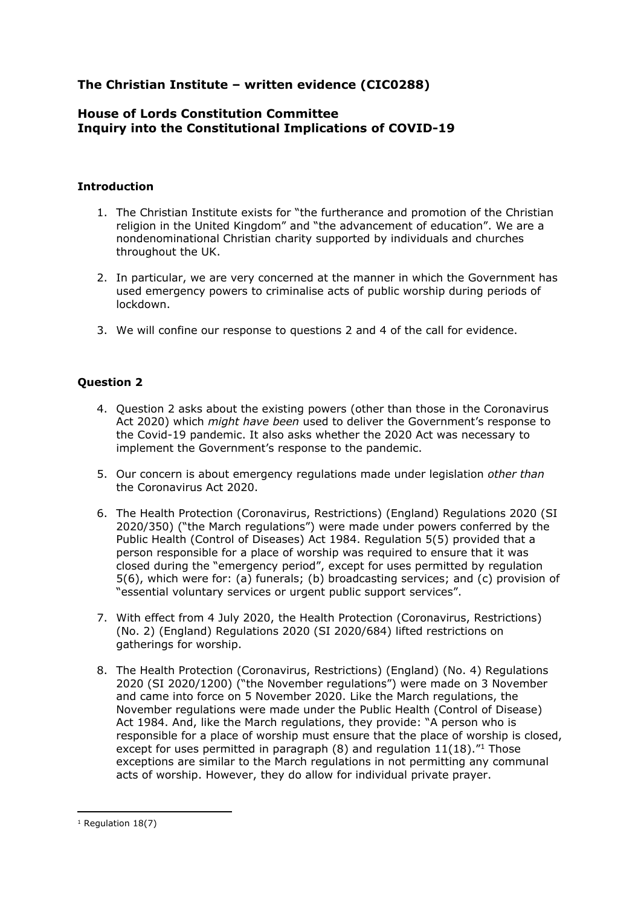# **The Christian Institute – written evidence (CIC0288)**

#### **House of Lords Constitution Committee Inquiry into the Constitutional Implications of COVID-19**

#### **Introduction**

- 1. The Christian Institute exists for "the furtherance and promotion of the Christian religion in the United Kingdom" and "the advancement of education". We are a nondenominational Christian charity supported by individuals and churches throughout the UK.
- 2. In particular, we are very concerned at the manner in which the Government has used emergency powers to criminalise acts of public worship during periods of lockdown.
- 3. We will confine our response to questions 2 and 4 of the call for evidence.

## **Question 2**

- 4. Question 2 asks about the existing powers (other than those in the Coronavirus Act 2020) which *might have been* used to deliver the Government's response to the Covid-19 pandemic. It also asks whether the 2020 Act was necessary to implement the Government's response to the pandemic.
- 5. Our concern is about emergency regulations made under legislation *other than* the Coronavirus Act 2020.
- 6. The Health Protection (Coronavirus, Restrictions) (England) Regulations 2020 (SI 2020/350) ("the March regulations") were made under powers conferred by the Public Health (Control of Diseases) Act 1984. Regulation 5(5) provided that a person responsible for a place of worship was required to ensure that it was closed during the "emergency period", except for uses permitted by regulation 5(6), which were for: (a) funerals; (b) broadcasting services; and (c) provision of "essential voluntary services or urgent public support services".
- 7. With effect from 4 July 2020, the Health Protection (Coronavirus, Restrictions) (No. 2) (England) Regulations 2020 (SI 2020/684) lifted restrictions on gatherings for worship.
- 8. The Health Protection (Coronavirus, Restrictions) (England) (No. 4) Regulations 2020 (SI 2020/1200) ("the November regulations") were made on 3 November and came into force on 5 November 2020. Like the March regulations, the November regulations were made under the Public Health (Control of Disease) Act 1984. And, like the March regulations, they provide: "A person who is responsible for a place of worship must ensure that the place of worship is closed, except for uses permitted in paragraph  $(8)$  and regulation  $11(18)$ ."<sup>1</sup> Those exceptions are similar to the March regulations in not permitting any communal acts of worship. However, they do allow for individual private prayer.

<sup>&</sup>lt;sup>1</sup> Regulation 18(7)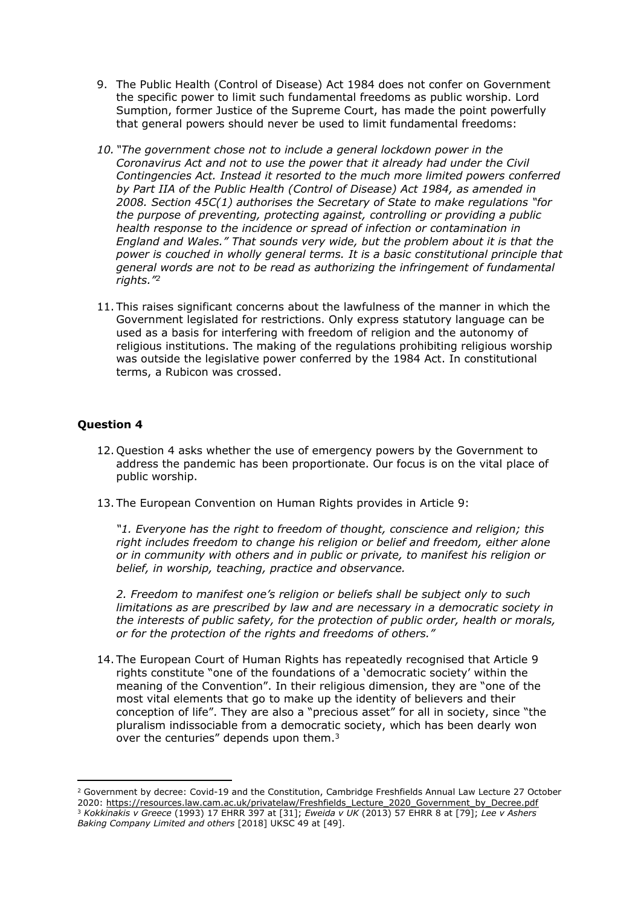- 9. The Public Health (Control of Disease) Act 1984 does not confer on Government the specific power to limit such fundamental freedoms as public worship. Lord Sumption, former Justice of the Supreme Court, has made the point powerfully that general powers should never be used to limit fundamental freedoms:
- *10. "The government chose not to include a general lockdown power in the Coronavirus Act and not to use the power that it already had under the Civil Contingencies Act. Instead it resorted to the much more limited powers conferred by Part IIA of the Public Health (Control of Disease) Act 1984, as amended in 2008. Section 45C(1) authorises the Secretary of State to make regulations "for the purpose of preventing, protecting against, controlling or providing a public health response to the incidence or spread of infection or contamination in England and Wales." That sounds very wide, but the problem about it is that the power is couched in wholly general terms. It is a basic constitutional principle that general words are not to be read as authorizing the infringement of fundamental rights."<sup>2</sup>*
- 11. This raises significant concerns about the lawfulness of the manner in which the Government legislated for restrictions. Only express statutory language can be used as a basis for interfering with freedom of religion and the autonomy of religious institutions. The making of the regulations prohibiting religious worship was outside the legislative power conferred by the 1984 Act. In constitutional terms, a Rubicon was crossed.

## **Question 4**

- 12. Question 4 asks whether the use of emergency powers by the Government to address the pandemic has been proportionate. Our focus is on the vital place of public worship.
- 13. The European Convention on Human Rights provides in Article 9:

*"1. Everyone has the right to freedom of thought, conscience and religion; this right includes freedom to change his religion or belief and freedom, either alone or in community with others and in public or private, to manifest his religion or belief, in worship, teaching, practice and observance.*

*2. Freedom to manifest one's religion or beliefs shall be subject only to such limitations as are prescribed by law and are necessary in a democratic society in the interests of public safety, for the protection of public order, health or morals, or for the protection of the rights and freedoms of others."*

14. The European Court of Human Rights has repeatedly recognised that Article 9 rights constitute "one of the foundations of a 'democratic society' within the meaning of the Convention". In their religious dimension, they are "one of the most vital elements that go to make up the identity of believers and their conception of life". They are also a "precious asset" for all in society, since "the pluralism indissociable from a democratic society, which has been dearly won over the centuries" depends upon them.<sup>3</sup>

<sup>2</sup> Government by decree: Covid-19 and the Constitution, Cambridge Freshfields Annual Law Lecture 27 October 2020: [https://resources.law.cam.ac.uk/privatelaw/Freshfields\\_Lecture\\_2020\\_Government\\_by\\_Decree.pdf](https://resources.law.cam.ac.uk/privatelaw/Freshfields_Lecture_2020_Government_by_Decree.pdf) <sup>3</sup> *Kokkinakis v Greece* (1993) 17 EHRR 397 at [31]; *Eweida v UK* (2013) 57 EHRR 8 at [79]; *Lee v Ashers Baking Company Limited and others* [2018] UKSC 49 at [49].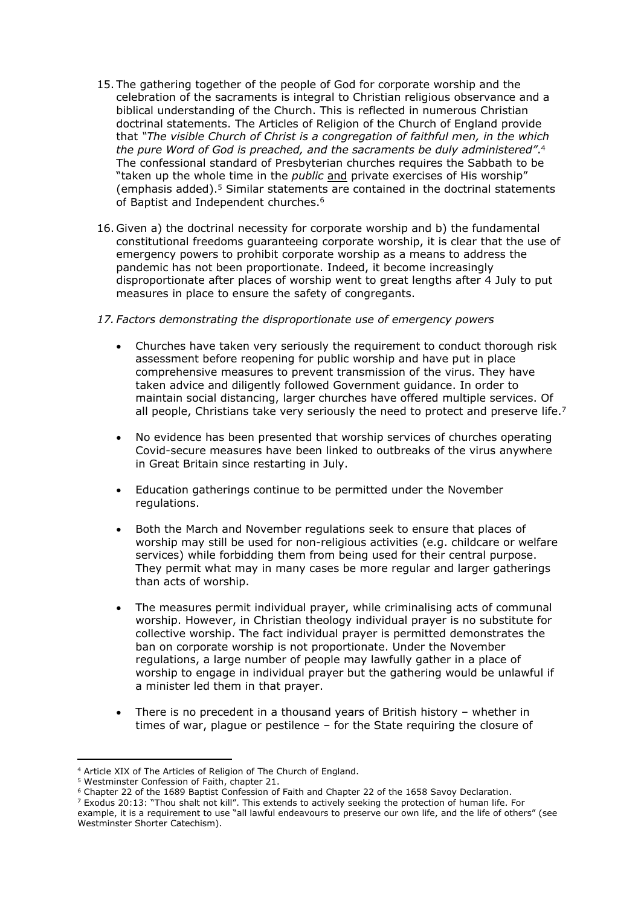- 15. The gathering together of the people of God for corporate worship and the celebration of the sacraments is integral to Christian religious observance and a biblical understanding of the Church. This is reflected in numerous Christian doctrinal statements. The Articles of Religion of the Church of England provide that *"The visible Church of Christ is a congregation of faithful men, in the which the pure Word of God is preached, and the sacraments be duly administered"*. 4 The confessional standard of Presbyterian churches requires the Sabbath to be "taken up the whole time in the *public* and private exercises of His worship" (emphasis added).<sup>5</sup> Similar statements are contained in the doctrinal statements of Baptist and Independent churches.<sup>6</sup>
- 16. Given a) the doctrinal necessity for corporate worship and b) the fundamental constitutional freedoms guaranteeing corporate worship, it is clear that the use of emergency powers to prohibit corporate worship as a means to address the pandemic has not been proportionate. Indeed, it become increasingly disproportionate after places of worship went to great lengths after 4 July to put measures in place to ensure the safety of congregants.

#### *17. Factors demonstrating the disproportionate use of emergency powers*

- Churches have taken very seriously the requirement to conduct thorough risk assessment before reopening for public worship and have put in place comprehensive measures to prevent transmission of the virus. They have taken advice and diligently followed Government guidance. In order to maintain social distancing, larger churches have offered multiple services. Of all people, Christians take very seriously the need to protect and preserve life.<sup>7</sup>
- No evidence has been presented that worship services of churches operating Covid-secure measures have been linked to outbreaks of the virus anywhere in Great Britain since restarting in July.
- Education gatherings continue to be permitted under the November regulations.
- Both the March and November regulations seek to ensure that places of worship may still be used for non-religious activities (e.g. childcare or welfare services) while forbidding them from being used for their central purpose. They permit what may in many cases be more regular and larger gatherings than acts of worship.
- The measures permit individual prayer, while criminalising acts of communal worship. However, in Christian theology individual prayer is no substitute for collective worship. The fact individual prayer is permitted demonstrates the ban on corporate worship is not proportionate. Under the November regulations, a large number of people may lawfully gather in a place of worship to engage in individual prayer but the gathering would be unlawful if a minister led them in that prayer.
- There is no precedent in a thousand years of British history whether in times of war, plague or pestilence – for the State requiring the closure of

<sup>4</sup> Article XIX of The Articles of Religion of The Church of England.

<sup>5</sup> Westminster Confession of Faith, chapter 21.

<sup>6</sup> Chapter 22 of the 1689 Baptist Confession of Faith and Chapter 22 of the 1658 Savoy Declaration.

 $7$  Exodus 20:13: "Thou shalt not kill". This extends to actively seeking the protection of human life. For

example, it is a requirement to use "all lawful endeavours to preserve our own life, and the life of others" (see Westminster Shorter Catechism).